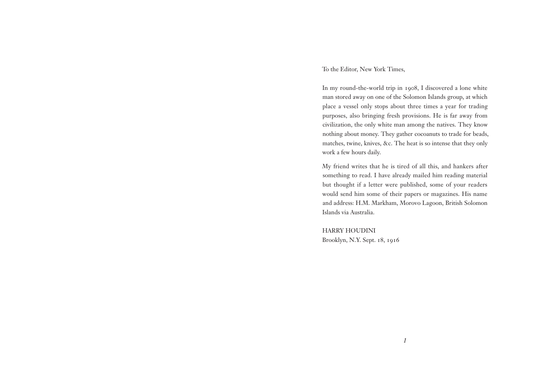To the Editor, New York Times,

In my round-the-world trip in 1908, I discovered a lone white man stored away on one of the Solomon Islands group, at which place a vessel only stops about three times a year for trading purposes, also bringing fresh provisions. He is far away from civilization, the only white man among the natives. They know nothing about money. They gather cocoanuts to trade for beads, matches, twine, knives, &c. The heat is so intense that they only work a few hours daily.

My friend writes that he is tired of all this, and hankers after something to read. I have already mailed him reading material but thought if a letter were published, some of your readers would send him some of their papers or magazines. His name and address: H.M. Markham, Morovo Lagoon, British Solomon Islands via Australia.

HARRY HOUDINI Brooklyn, N.Y. Sept. 18, 1916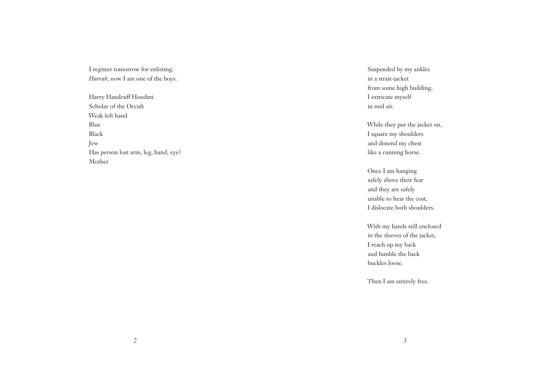I register tomorrow for enlisting. *Hurrah*, now I am one of the boys.

Harry Handcuff Houdini Scholar of the Occult Weak left hand Blue Black Jew Has person lost arm, leg, hand, eye? Mother

Suspended by my ankles in a strait-jacket from some high building, I extricate myself in mid air.

While they put the jacket on, I square my shoulders and distend my chest like a cunning horse.

Once I am hanging safely above their fear and they are safely unable to hear the cost, I dislocate both shoulders.

With my hands still enclosed in the sleeves of the jacket, I reach up my back and fumble the back buckles loose.

Then I am entirely free.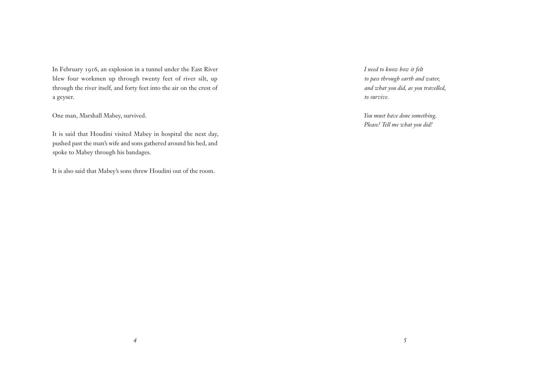In February 1916, an explosion in a tunnel under the East River blew four workmen up through twenty feet of river silt, up through the river itself, and forty feet into the air on the crest of a geyser.

One man, Marshall Mabey, survived.

It is said that Houdini visited Mabey in hospital the next day, pushed past the man's wife and sons gathered around his bed, and spoke to Mabey through his bandages.

It is also said that Mabey's sons threw Houdini out of the room.

*I need to know how it felt to pass through earth and water, and what you did, as you travelled, to survive.*

*You must have done something. Please! Tell me what you did!*